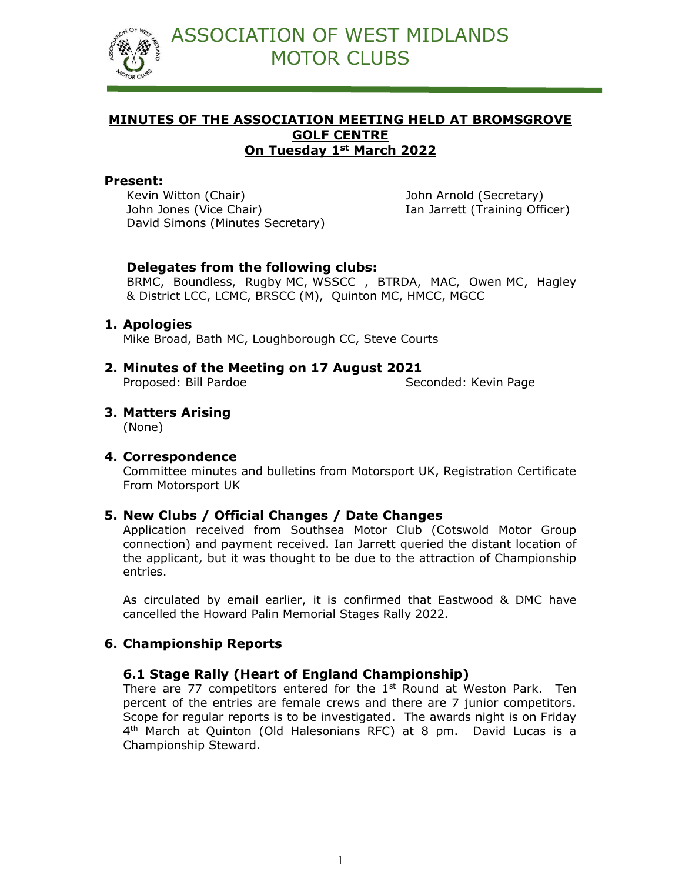

## MINUTES OF THE ASSOCIATION MEETING HELD AT BROMSGROVE GOLF CENTRE On Tuesday 1st March 2022

#### Present:

Kevin Witton (Chair) John Arnold (Secretary) John Jones (Vice Chair) Ian Jarrett (Training Officer) David Simons (Minutes Secretary)

#### Delegates from the following clubs:

BRMC, Boundless, Rugby MC, WSSCC , BTRDA, MAC, Owen MC, Hagley & District LCC, LCMC, BRSCC (M), Quinton MC, HMCC, MGCC

#### 1. Apologies

Mike Broad, Bath MC, Loughborough CC, Steve Courts

2. Minutes of the Meeting on 17 August 2021 Proposed: Bill Pardoe Seconded: Kevin Page

## 3. Matters Arising

(None)

#### 4. Correspondence

Committee minutes and bulletins from Motorsport UK, Registration Certificate From Motorsport UK

#### 5. New Clubs / Official Changes / Date Changes

Application received from Southsea Motor Club (Cotswold Motor Group connection) and payment received. Ian Jarrett queried the distant location of the applicant, but it was thought to be due to the attraction of Championship entries.

As circulated by email earlier, it is confirmed that Eastwood & DMC have cancelled the Howard Palin Memorial Stages Rally 2022.

## 6. Championship Reports

#### 6.1 Stage Rally (Heart of England Championship)

There are 77 competitors entered for the  $1<sup>st</sup>$  Round at Weston Park. Ten percent of the entries are female crews and there are 7 junior competitors. Scope for regular reports is to be investigated. The awards night is on Friday 4 th March at Quinton (Old Halesonians RFC) at 8 pm. David Lucas is a Championship Steward.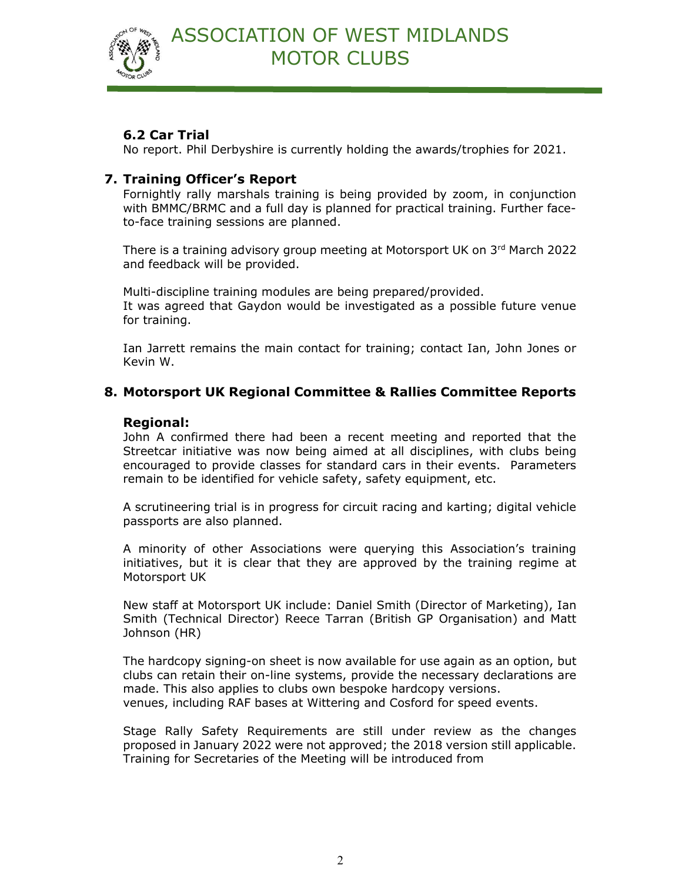

# 6.2 Car Trial

No report. Phil Derbyshire is currently holding the awards/trophies for 2021.

### 7. Training Officer's Report

Fornightly rally marshals training is being provided by zoom, in conjunction with BMMC/BRMC and a full day is planned for practical training. Further faceto-face training sessions are planned.

There is a training advisory group meeting at Motorsport UK on 3rd March 2022 and feedback will be provided.

Multi-discipline training modules are being prepared/provided. It was agreed that Gaydon would be investigated as a possible future venue for training.

Ian Jarrett remains the main contact for training; contact Ian, John Jones or Kevin W.

# 8. Motorsport UK Regional Committee & Rallies Committee Reports

#### Regional:

John A confirmed there had been a recent meeting and reported that the Streetcar initiative was now being aimed at all disciplines, with clubs being encouraged to provide classes for standard cars in their events. Parameters remain to be identified for vehicle safety, safety equipment, etc.

A scrutineering trial is in progress for circuit racing and karting; digital vehicle passports are also planned.

A minority of other Associations were querying this Association's training initiatives, but it is clear that they are approved by the training regime at Motorsport UK

New staff at Motorsport UK include: Daniel Smith (Director of Marketing), Ian Smith (Technical Director) Reece Tarran (British GP Organisation) and Matt Johnson (HR)

The hardcopy signing-on sheet is now available for use again as an option, but clubs can retain their on-line systems, provide the necessary declarations are made. This also applies to clubs own bespoke hardcopy versions. venues, including RAF bases at Wittering and Cosford for speed events.

Stage Rally Safety Requirements are still under review as the changes proposed in January 2022 were not approved; the 2018 version still applicable. Training for Secretaries of the Meeting will be introduced from